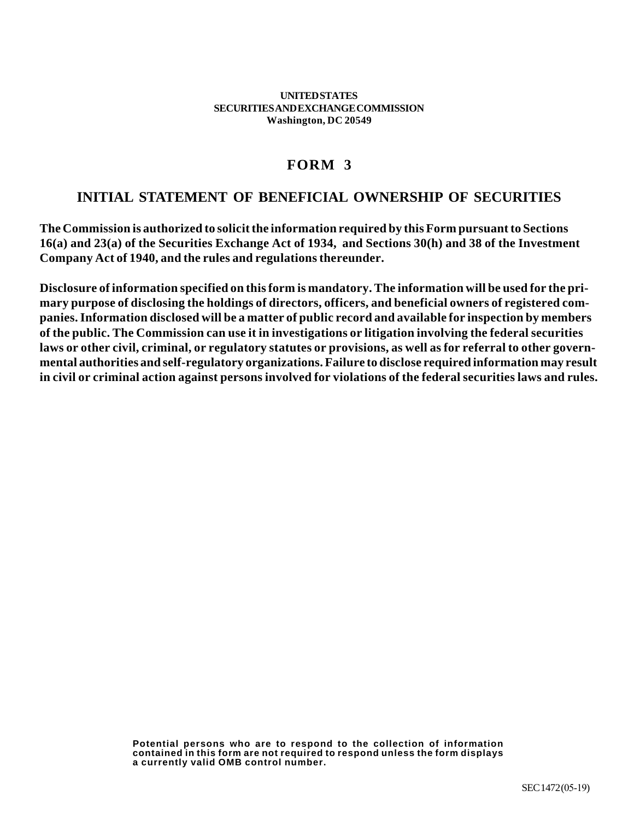# **UNITED STATES SECURITIES AND EXCHANGE COMMISSION Washington, DC 20549**

# **FORM 3**

# **INITIAL STATEMENT OF BENEFICIAL OWNERSHIP OF SECURITIES**

**The Commission is authorized to solicit the information required by this Form pursuant to Sections 16(a) and 23(a) of the Securities Exchange Act of 1934, and Sections 30(h) and 38 of the Investment Company Act of 1940, and the rules and regulations thereunder.** 

**Disclosure of information specified on this form is mandatory. The information will be used for the primary purpose of disclosing the holdings of directors, officers, and beneficial owners of registered companies. Information disclosed will be a matter of public record and available for inspection by members of the public. The Commission can use it in investigations or litigation involving the federal securities laws or other civil, criminal, or regulatory statutes or provisions, as well as for referral to other governmental authorities and self-regulatory organizations. Failure to disclose required information may result in civil or criminal action against persons involved for violations of the federal securities laws and rules.**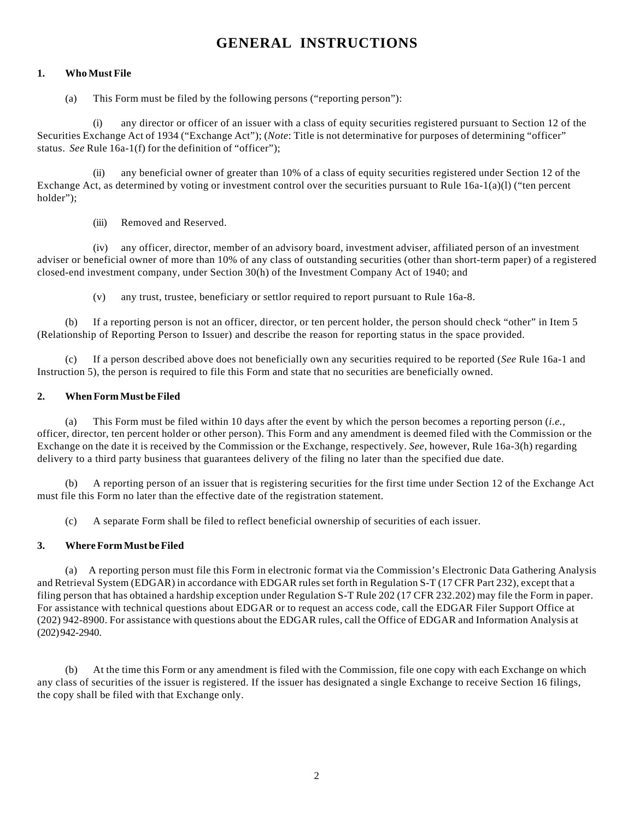# **GENERAL INSTRUCTIONS**

# **1. Who Must File**

(a) This Form must be filed by the following persons ("reporting person"):

(i) any director or officer of an issuer with a class of equity securities registered pursuant to Section 12 of the Securities Exchange Act of 1934 ("Exchange Act"); (*Note*: Title is not determinative for purposes of determining "officer" status. *See* Rule 16a-1(f) for the definition of "officer");

(ii) any beneficial owner of greater than 10% of a class of equity securities registered under Section 12 of the Exchange Act, as determined by voting or investment control over the securities pursuant to Rule 16a-1(a)(l) ("ten percent holder");

(iii) Removed and Reserved.

(iv) any officer, director, member of an advisory board, investment adviser, affiliated person of an investment adviser or beneficial owner of more than 10% of any class of outstanding securities (other than short-term paper) of a registered closed-end investment company, under Section 30(h) of the Investment Company Act of 1940; and

(v) any trust, trustee, beneficiary or settlor required to report pursuant to Rule 16a-8.

(b) If a reporting person is not an officer, director, or ten percent holder, the person should check "other" in Item 5 (Relationship of Reporting Person to Issuer) and describe the reason for reporting status in the space provided.

(c) If a person described above does not beneficially own any securities required to be reported (*See* Rule 16a-1 and Instruction 5), the person is required to file this Form and state that no securities are beneficially owned.

# **2. When Form Must be Filed**

(a) This Form must be filed within 10 days after the event by which the person becomes a reporting person (*i.e.*, officer, director, ten percent holder or other person). This Form and any amendment is deemed filed with the Commission or the Exchange on the date it is received by the Commission or the Exchange, respectively. *See*, however, Rule 16a-3(h) regarding delivery to a third party business that guarantees delivery of the filing no later than the specified due date.

(b) A reporting person of an issuer that is registering securities for the first time under Section 12 of the Exchange Act must file this Form no later than the effective date of the registration statement.

(c) A separate Form shall be filed to reflect beneficial ownership of securities of each issuer.

# **3. Where Form Must be Filed**

(a) A reporting person must file this Form in electronic format via the Commission's Electronic Data Gathering Analysis and Retrieval System (EDGAR) in accordance with EDGAR rules set forth in Regulation S-T (17 CFR Part 232), except that a filing person that has obtained a hardship exception under Regulation S-T Rule 202 (17 CFR 232.202) may file the Form in paper. For assistance with technical questions about EDGAR or to request an access code, call the EDGAR Filer Support Office at (202) 942-8900. For assistance with questions about the EDGAR rules, call the Office of EDGAR and Information Analysis at (202) 942-2940.

(b) At the time this Form or any amendment is filed with the Commission, file one copy with each Exchange on which any class of securities of the issuer is registered. If the issuer has designated a single Exchange to receive Section 16 filings, the copy shall be filed with that Exchange only.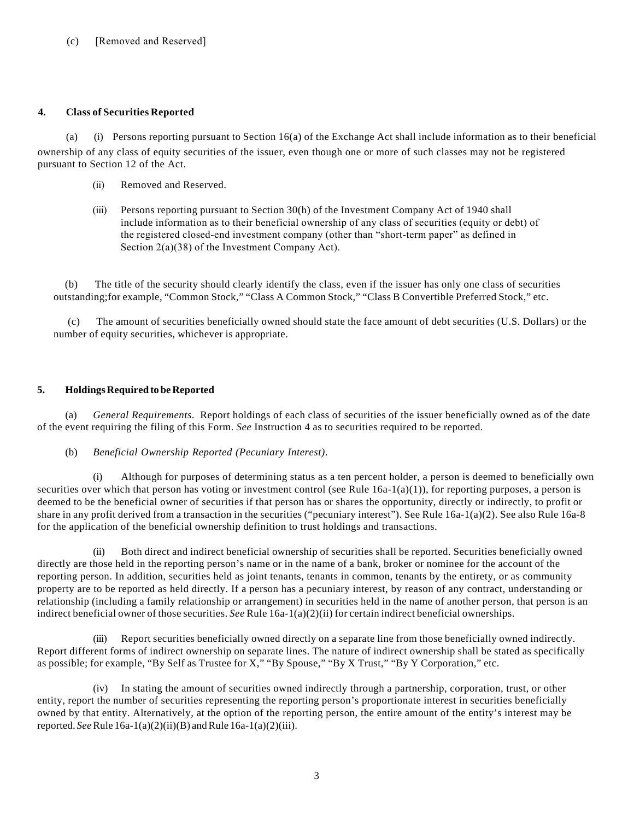### (c) [Removed and Reserved]

#### **4. Class of Securities Reported**

(a) (i) Persons reporting pursuant to Section  $16(a)$  of the Exchange Act shall include information as to their beneficial ownership of any class of equity securities of the issuer, even though one or more of such classes may not be registered pursuant to Section 12 of the Act.

- (ii) Removed and Reserved.
- include information as to their beneficial ownership of any class of securities (equity or debt) of (iii) Persons reporting pursuant to Section 30(h) of the Investment Company Act of 1940 shall the registered closed-end investment company (other than "short-term paper" as defined in Section 2(a)(38) of the Investment Company Act).

(b) The title of the security should clearly identify the class, even if the issuer has only one class of securities outstanding;for example, "Common Stock," "Class A Common Stock," "Class B Convertible Preferred Stock," etc.

The amount of securities beneficially owned should state the face amount of debt securities (U.S. Dollars) or the number of equity securities, whichever is appropriate.

# **5. Holdings Required to be Reported**

(a) *General Requirements*. Report holdings of each class of securities of the issuer beneficially owned as of the date of the event requiring the filing of this Form. *See* Instruction 4 as to securities required to be reported.

# (b) *Beneficial Ownership Reported (Pecuniary Interest)*.

(i) Although for purposes of determining status as a ten percent holder, a person is deemed to beneficially own securities over which that person has voting or investment control (see Rule  $16a-1(a)(1)$ ), for reporting purposes, a person is deemed to be the beneficial owner of securities if that person has or shares the opportunity, directly or indirectly, to profit or share in any profit derived from a transaction in the securities ("pecuniary interest"). See Rule 16a-1(a)(2). See also Rule 16a-8 for the application of the beneficial ownership definition to trust holdings and transactions.

(ii) Both direct and indirect beneficial ownership of securities shall be reported. Securities beneficially owned directly are those held in the reporting person's name or in the name of a bank, broker or nominee for the account of the reporting person. In addition, securities held as joint tenants, tenants in common, tenants by the entirety, or as community property are to be reported as held directly. If a person has a pecuniary interest, by reason of any contract, understanding or relationship (including a family relationship or arrangement) in securities held in the name of another person, that person is an indirect beneficial owner of those securities. *See* Rule 16a-1(a)(2)(ii) for certain indirect beneficial ownerships.

(iii) Report securities beneficially owned directly on a separate line from those beneficially owned indirectly. Report different forms of indirect ownership on separate lines. The nature of indirect ownership shall be stated as specifically as possible; for example, "By Self as Trustee for X," "By Spouse," "By X Trust," "By Y Corporation," etc.

(iv) In stating the amount of securities owned indirectly through a partnership, corporation, trust, or other entity, report the number of securities representing the reporting person's proportionate interest in securities beneficially owned by that entity. Alternatively, at the option of the reporting person, the entire amount of the entity's interest may be reported. *See* Rule 16a-1(a)(2)(ii)(B) and Rule 16a-1(a)(2)(iii).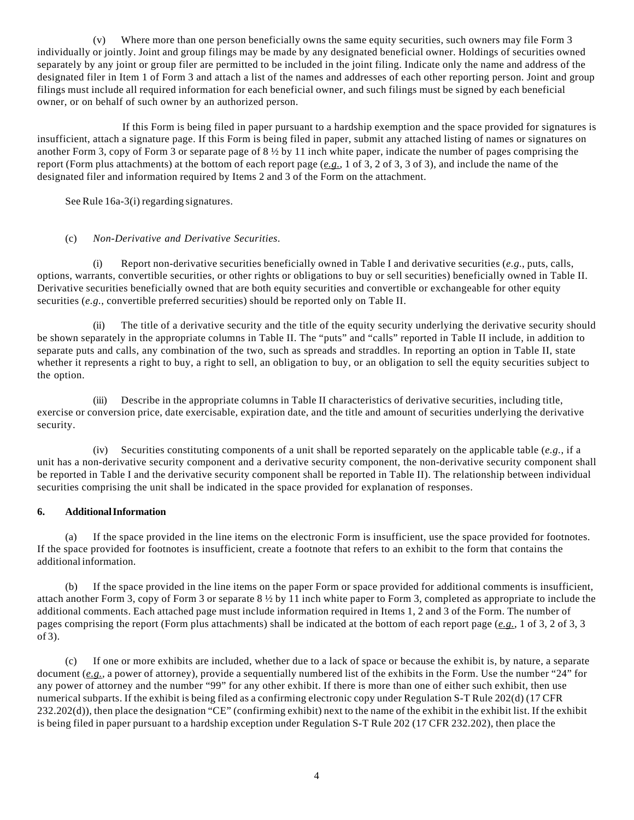(v) Where more than one person beneficially owns the same equity securities, such owners may file Form 3 individually or jointly. Joint and group filings may be made by any designated beneficial owner. Holdings of securities owned separately by any joint or group filer are permitted to be included in the joint filing. Indicate only the name and address of the designated filer in Item 1 of Form 3 and attach a list of the names and addresses of each other reporting person. Joint and group filings must include all required information for each beneficial owner, and such filings must be signed by each beneficial owner, or on behalf of such owner by an authorized person.

If this Form is being filed in paper pursuant to a hardship exemption and the space provided for signatures is insufficient, attach a signature page. If this Form is being filed in paper, submit any attached listing of names or signatures on another Form 3, copy of Form 3 or separate page of 8 ½ by 11 inch white paper, indicate the number of pages comprising the report (Form plus attachments) at the bottom of each report page (*e.g.*, 1 of 3, 2 of 3, 3 of 3), and include the name of the designated filer and information required by Items 2 and 3 of the Form on the attachment.

See Rule 16a-3(i) regarding signatures.

# (c) *Non-Derivative and Derivative Securities*.

(i) Report non-derivative securities beneficially owned in Table I and derivative securities (*e.g.*, puts, calls, options, warrants, convertible securities, or other rights or obligations to buy or sell securities) beneficially owned in Table II. Derivative securities beneficially owned that are both equity securities and convertible or exchangeable for other equity securities (*e.g.*, convertible preferred securities) should be reported only on Table II.

The title of a derivative security and the title of the equity security underlying the derivative security should be shown separately in the appropriate columns in Table II. The "puts" and "calls" reported in Table II include, in addition to separate puts and calls, any combination of the two, such as spreads and straddles. In reporting an option in Table II, state whether it represents a right to buy, a right to sell, an obligation to buy, or an obligation to sell the equity securities subject to the option.

(iii) Describe in the appropriate columns in Table II characteristics of derivative securities, including title, exercise or conversion price, date exercisable, expiration date, and the title and amount of securities underlying the derivative security.

(iv) Securities constituting components of a unit shall be reported separately on the applicable table (*e.g.*, if a unit has a non-derivative security component and a derivative security component, the non-derivative security component shall be reported in Table I and the derivative security component shall be reported in Table II). The relationship between individual securities comprising the unit shall be indicated in the space provided for explanation of responses.

# **6. Additional Information**

(a) If the space provided in the line items on the electronic Form is insufficient, use the space provided for footnotes. If the space provided for footnotes is insufficient, create a footnote that refers to an exhibit to the form that contains the additional information.

(b) If the space provided in the line items on the paper Form or space provided for additional comments is insufficient, attach another Form 3, copy of Form 3 or separate 8 ½ by 11 inch white paper to Form 3, completed as appropriate to include the additional comments. Each attached page must include information required in Items 1, 2 and 3 of the Form. The number of pages comprising the report (Form plus attachments) shall be indicated at the bottom of each report page (*e.g.*, 1 of 3, 2 of 3, 3 of 3).

(c) If one or more exhibits are included, whether due to a lack of space or because the exhibit is, by nature, a separate document (*e.g.*, a power of attorney), provide a sequentially numbered list of the exhibits in the Form. Use the number "24" for any power of attorney and the number "99" for any other exhibit. If there is more than one of either such exhibit, then use numerical subparts. If the exhibit is being filed as a confirming electronic copy under Regulation S-T Rule 202(d) (17 CFR 232.202(d)), then place the designation "CE" (confirming exhibit) next to the name of the exhibit in the exhibit list. If the exhibit is being filed in paper pursuant to a hardship exception under Regulation S-T Rule 202 (17 CFR 232.202), then place the